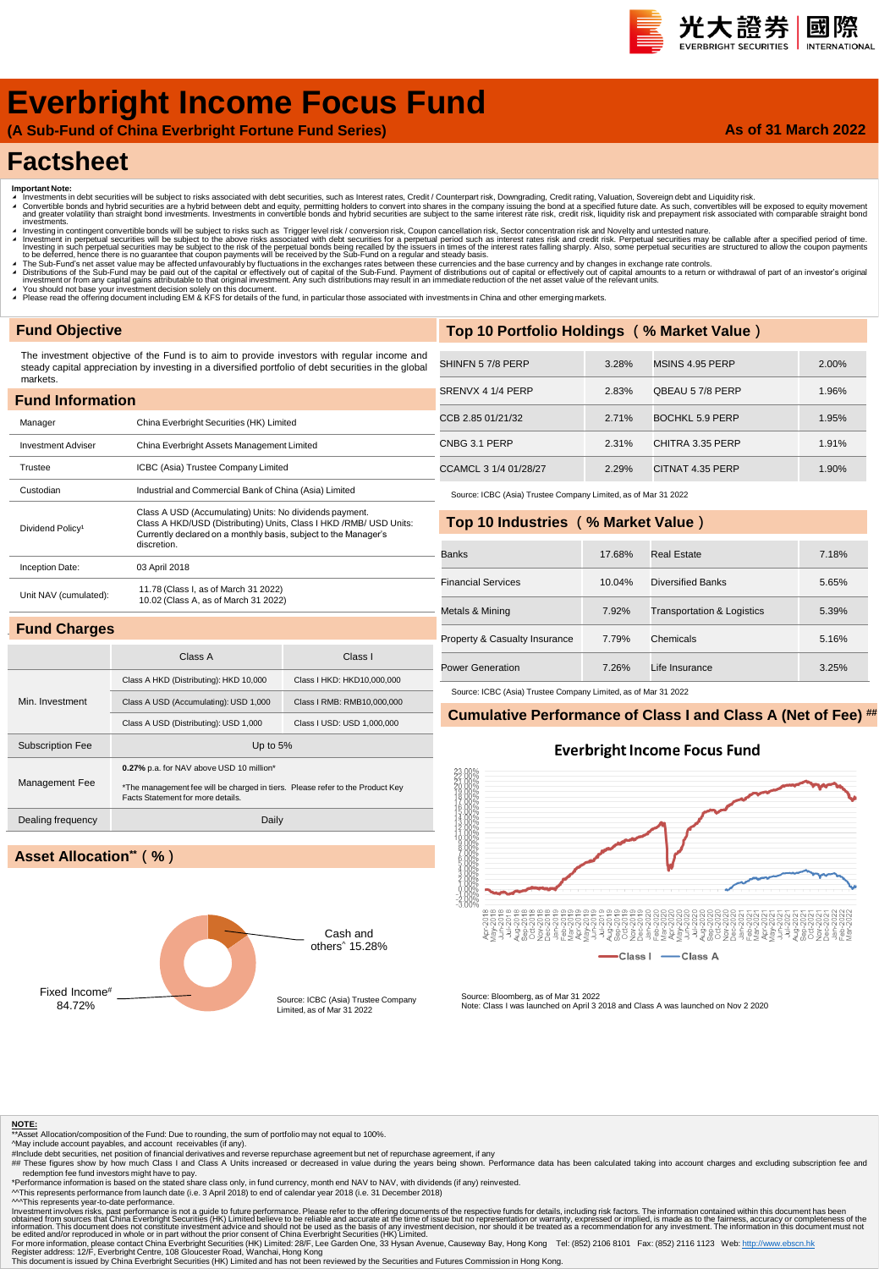### 光大證券 國際 **INTERNATION**

**As of 31 March 2022**

# **Everbright Income Focus Fund**

**(A Sub-Fund of China Everbright Fortune Fund Series)**

## **Factsheet**

- 
- Important Note:<br>▲ Investments in debt securities will be subject to risks associated with debt securities, such as Interest rates, Credit / Counterpart risk, Downgrading, Credit rating, Valuation, Sovereign debt and Liqui
- nvestinents.<br>Investing in contingent convertible bonds will be subject to risks such as Trigger level risk / conversion risk, Coupon cancellation risk, Sector concentration risk and Novelty and untested nature. Investment in perpetual securities will be subject to the above risks associated with debt securities for a perpetual period such as interest rates risk and credit risk. Perpetual securities may be callable after a specifi
- ▲ The Sub-Fund's net asset value may be affected unfavourably by fluctuations in the exchanges rates between these currencies and the base currency and by changes in exchange rate controls.<br>▲ Distributions of the Sub-Fund
- 
- ∡ You should not base your investment decision solely on this document.<br>◢ Please read the offering document including EM & KFS for details of the fund, in particular those associated with investments in China and other em

### **Fund Objective**

Min. Investment

Management Fee

**Asset Allocation\*\*(%)**

The investment objective of the Fund is to aim to provide investors with regular income and steady capital appreciation by investing in a diversified portfolio of debt securities in the global markets.

| <b>Fund Information</b>      |                                                                                                                                                                                                                  |  |  |  |  |  |  |
|------------------------------|------------------------------------------------------------------------------------------------------------------------------------------------------------------------------------------------------------------|--|--|--|--|--|--|
| Manager                      | China Everbright Securities (HK) Limited                                                                                                                                                                         |  |  |  |  |  |  |
| <b>Investment Adviser</b>    | China Everbright Assets Management Limited                                                                                                                                                                       |  |  |  |  |  |  |
| Trustee                      | ICBC (Asia) Trustee Company Limited                                                                                                                                                                              |  |  |  |  |  |  |
| Custodian                    | Industrial and Commercial Bank of China (Asia) Limited                                                                                                                                                           |  |  |  |  |  |  |
| Dividend Policy <sup>1</sup> | Class A USD (Accumulating) Units: No dividends payment.<br>Class A HKD/USD (Distributing) Units, Class I HKD / RMB/ USD Units:<br>Currently declared on a monthly basis, subject to the Manager's<br>discretion. |  |  |  |  |  |  |
| Inception Date:              | 03 April 2018                                                                                                                                                                                                    |  |  |  |  |  |  |
| Unit NAV (cumulated):        | 11.78 (Class I, as of March 31 2022)<br>10.02 (Class A, as of March 31 2022)                                                                                                                                     |  |  |  |  |  |  |
| <b>Fund Charges</b>          |                                                                                                                                                                                                                  |  |  |  |  |  |  |

Class A Class I

Class A HKD (Distributing): HKD 10,000 Class I HKD: HKD10,000,000 Class A USD (Accumulating): USD 1,000 Class I RMB: RMB10,000,000 Class A USD (Distributing): USD 1,000 Class I USD: USD 1,000,000

\*The management fee will be charged in tiers. Please refer to the Product Key

| Top 10 Portfolio Holdings (% Market Value) |       |                  |       |  |  |  |
|--------------------------------------------|-------|------------------|-------|--|--|--|
|                                            |       |                  |       |  |  |  |
| SHINFN 57/8 PERP                           | 3.28% | MSINS 4.95 PERP  | 2.00% |  |  |  |
| SRENVX 4 1/4 PERP                          | 2.83% | OBEAU 57/8 PERP  | 1.96% |  |  |  |
| CCB 2.85 01/21/32                          | 2.71% | BOCHKL 5.9 PERP  | 1.95% |  |  |  |
| CNBG 3.1 PERP                              | 2.31% | CHITRA 3.35 PERP | 1.91% |  |  |  |
| CCAMCL 3 1/4 01/28/27                      | 2.29% | CITNAT 4.35 PERP | 1.90% |  |  |  |

Source: ICBC (Asia) Trustee Company Limited, as of Mar 31 2022

### **Top 10 Industries (% Market Value)**

| <b>Banks</b>                  | 17.68% | Real Estate                           | 7.18% |
|-------------------------------|--------|---------------------------------------|-------|
| <b>Financial Services</b>     | 10.04% | Diversified Banks                     | 5.65% |
| Metals & Mining               | 7.92%  | <b>Transportation &amp; Logistics</b> | 5.39% |
| Property & Casualty Insurance | 7.79%  | Chemicals                             | 5.16% |
| Power Generation              | 7.26%  | Life Insurance                        | 3.25% |

Source: ICBC (Asia) Trustee Company Limited, as of Mar 31 2022

### **Cumulative Performance of Class I and Class A (Net of Fee) ##**

### **Everbright Income Focus Fund**



Fixed Income<sup>#</sup><br>84 72%

Subscription Fee Up to 5%

Dealing frequency Daily

**0.27%** p.a. for NAV above USD 10 million\*

Facts Statement for more details.

Source: ICBC (Asia) Trustee Company Limited, as of Mar 31 2022

Cash and others^ 15.28%

Source: Bloomberg, as of Mar 31 2022 Note: Class I was launched on April 3 2018 and Class A was launched on Nov 2 2020

**NOTE:** \*\*Asset Allocation/composition of the Fund: Due to rounding, the sum of portfolio may not equal to 100%.

- 
- 

^May include account payables, and account receivables (if any).<br>#Include debt securities, net position of financial derivatives and reverse repurchase agreement but net of repurchase agreement, if any<br>## These figures sho

redemption fee fund investors might have to pay.<br>"Performance information is based on the stated share class only, in fund currency, month end NAV to NAV, with dividends (if any) reinvested.<br>^^This represents performance

<sup>AM</sup>This represents year-to-date performance is not a guide to future performance. Please refer to the offering documents of the respective funds for details, including risk factors. The information contained within this d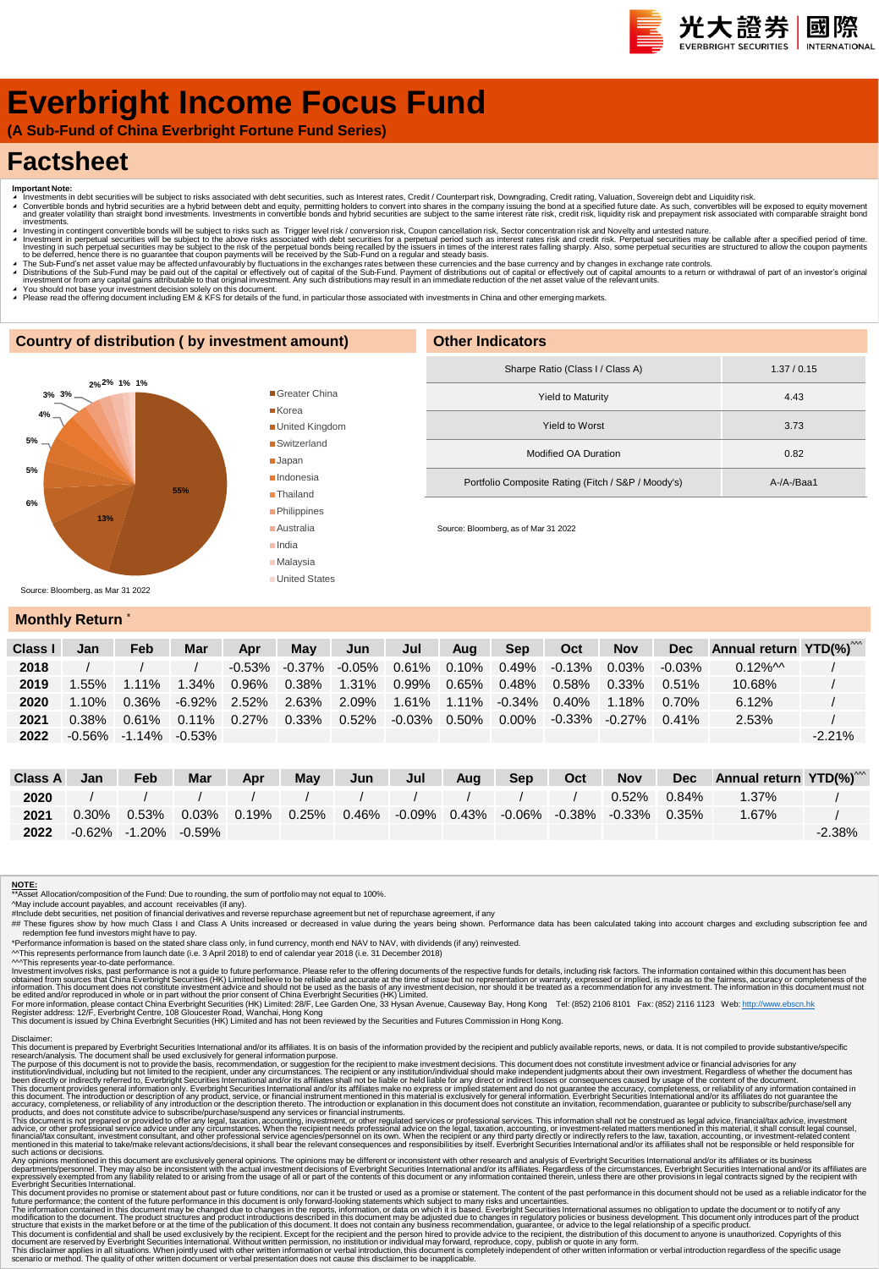# **Everbright Income Focus Fund**

**(A Sub-Fund of China Everbright Fortune Fund Series)**

# **Factsheet**

- 
- Important Note:<br>▲ Investments in debt securities will be subject to risks associated with debt securities, such as Interest rates, Credit / Counterpart risk, Downgrading, Credit rating, Valuation, Sovereign debt and Equid πνestinems.<br>Πανεsting in contingent convertible bonds will be subject to risks such as Trigger level risk / conversion risk, Coupon cancellation risk, Sector concentration risk and Novelty and untested nature.
- Investment in perpetual securities will be subject to the above risks associated with debt securities for a perpetual period such as interest rates risk and credit risk. Perpetual securities may be callable after a specifi
- A The Sub-Fund's net asset value may be affected unfavourably by fluctuations in the exchanges rates between these currencies and the base currency and by changes in exchange rate controls.<br>A Distributions of the Sub-Fund
- 
- ∡ You should not base your investment decision solely on this document.<br>▲ Please read the offering document including EM & KFS for details of the fund, in particular those associated with investments in China and other em

### **Country of distribution ( by investment amount)**



| <b>Other Indicators</b>                            |              |
|----------------------------------------------------|--------------|
| Sharpe Ratio (Class I / Class A)                   | 1.37/0.15    |
| <b>Yield to Maturity</b>                           | 4.43         |
| Yield to Worst                                     | 3.73         |
| Modified OA Duration                               | 0.82         |
| Portfolio Composite Rating (Fitch / S&P / Moody's) | $A-A-A$ Baa1 |
|                                                    |              |

Source: Bloomberg, as of Mar 31 2022

### **Monthly Return**

| Class I | Jan      | Feb                       | Mar      | Apr       | May       | Jun      | Jul      | Aua      | <b>Sep</b>         | Oct       | <b>Nov</b> | <b>Dec</b> | Annual return $YTD(\%)^{\wedge\wedge}$ |          |
|---------|----------|---------------------------|----------|-----------|-----------|----------|----------|----------|--------------------|-----------|------------|------------|----------------------------------------|----------|
| 2018    |          |                           |          | $-0.53\%$ | $-0.37\%$ | -0.05%   | $0.61\%$ | $0.10\%$ | $0.49\%$           | $-0.13\%$ | $0.03\%$   | $-0.03\%$  | $0.12\%$ M                             |          |
| 2019    | .55%     | $1.11\%$                  | $1.34\%$ | 0.96%     | $0.38\%$  | $1.31\%$ | 0.99%    |          | $0.65\%$ 0.48%     | 0.58%     | 0.33%      | $0.51\%$   | 10.68%                                 |          |
| 2020    | $1.10\%$ | 0.36%                     | -6.92%   | 2.52%     | 2.63%     | 2.09%    | 1.61%    |          | 1.11% -0.34% 0.40% |           | $1.18\%$   | 0.70%      | 6.12%                                  |          |
| 2021    | $0.38\%$ | $0.61\%$                  | $0.11\%$ | $0.27\%$  | $0.33\%$  | 0.52%    | -0.03%   | $0.50\%$ | $0.00\%$           | $-0.33\%$ | $-0.27\%$  | $0.41\%$   | 2.53%                                  |          |
| 2022    |          | $-0.56\% -1.14\% -0.53\%$ |          |           |           |          |          |          |                    |           |            |            |                                        | $-2.21%$ |

| Class A | Jan      | Feb                             | Mar | <b>Apr</b> | May | Jun | Jul | Aug | Sep <sup>1</sup> | Oct | <b>Nov</b>                                                                  |          | Dec Annual return YTD(%) <sup>***</sup> |           |
|---------|----------|---------------------------------|-----|------------|-----|-----|-----|-----|------------------|-----|-----------------------------------------------------------------------------|----------|-----------------------------------------|-----------|
| 2020    |          | 1 1 1 1 1 1 1 1 1 1 1 1 1 1 1 1 |     |            |     |     |     |     |                  |     | $0.52\%$                                                                    | $0.84\%$ | 1.37%                                   |           |
| 2021    | $0.30\%$ |                                 |     |            |     |     |     |     |                  |     | $0.53\%$ $0.03\%$ 0.19% 0.25% 0.46% -0.09% 0.43% -0.06% -0.38% -0.33% 0.35% |          | 1.67%                                   |           |
| 2022    |          | -0.62% -1.20% -0.59%            |     |            |     |     |     |     |                  |     |                                                                             |          |                                         | $-2.38\%$ |

### **NOTE:**

\*\*Asset Allocation/composition of the Fund: Due to rounding, the sum of portfolio may not equal to 100%.

^May include account payables, and account receivables (if any).<br>#Include debt securities, net position of financial derivatives and reverse repurchase agreement but net of repurchase agreement, if any<br>## These figures sho

redemption fee fund investors might have to pay.<br>"Performance information is based on the stated share class only, in fund currency, month end NAV to NAV, with dividends (if any) reinvested.<br>^^This represents performance f

Investment involves risks, past performance is not a guide to future performance. Please refer to the offering documents of the expective substanced from sources that China Everbright Securities (HK) Limited believe to be

Disclaimer:<br>This document is prepared by Everbright Securities International and/or its affiliates. It is on basis of the information provided by the recipient and publicly available reports, news, or data. It is not compi

The purpose of this document is not to provide the basis, recommendation, or suggestion for the recipient to make investment decisions. This document divident his metally advisories for any incrument and the metally includ

Any opinion mentioned in this document are exclusively general opinions. The opinions may be different or inconsistent with the research and and/or its affiliates. or its busines mentioned in this document are served by it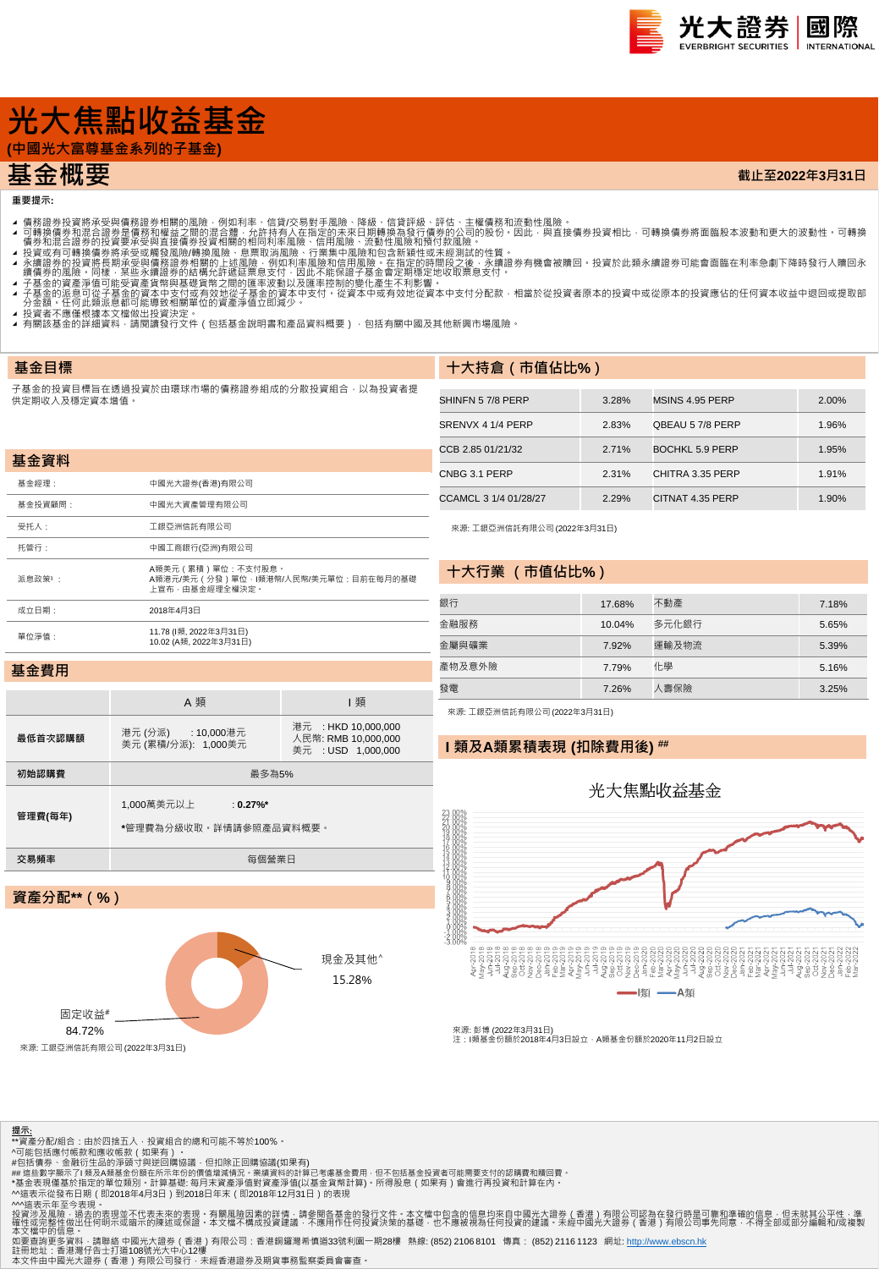

**截止至2022年3月31日**

# **光大焦點收益基金**

**(中國光大富尊基金系列的子基金)**

## **基金概要**

### **重要提示:**

**基金目標**

- 
- 4 可轉證券投資將承受與情務證券相關的風險,例如利率、信貸次易對手風險、降線、信貸評級、評估、主權債務和流動性風險。<br>4 可轉換債務業投資將承受與情務額證外相關的風險,例如利率、信貸次易對手風險、降風、有限部級行情勞的公司的股份,因此,與直接債券投資相比,可轉換債券將面臨股本波動和更大的波動性 可轉換<br>4 債券和混合證券的投資要承受與直接債券投資相關的相同利率風險、行業集中風險和頂待付款風險 •<br>1 積分和混合證券的投資要承受要項資
- 
- 
- 
- 
- ▲ 13貝百个應運低豫平又備做山投員次足。<br>▲ 有關該基金的詳細資料,請閱讀發行文件(包括基金說明書和產品資料概要) · 包括有關中國及其他新興市場風險。

### 子基金的投資目標旨在透過投資於由環球市場的債務證券組成的分散投資組合,以為投資者提 供定期收入及穩定資本增值。

| 基金資料         |                                                                               |
|--------------|-------------------------------------------------------------------------------|
| <b>基金經理:</b> | 中國光大證券(香港)有限公司                                                                |
| 基金投資顧問:      | 中國光大資產管理有限公司                                                                  |
| 受托人:         | 工銀亞洲信託有限公司                                                                    |
| 托管行:         | 中國工商銀行(亞洲)有限公司                                                                |
| 派鳥政策1:       | A類美元 (累積)單位:不支付股息。<br>A類港元/美元 (分發)單位·I類港幣/人民幣/美元單位:目前在每月的基礎<br>上宣布・由基金經理全權決定・ |
| 成立日期:        | 2018年4月3日                                                                     |
| 單位淨值:        | 11.78 (l類, 2022年3月31日)<br>10.02 (A類. 2022年3月31日)                              |

| SHINFN 57/8 PERP      | 3.28% | MSINS 4.95 PERP  | 2.00% |
|-----------------------|-------|------------------|-------|
| SRENVX 4 1/4 PERP     | 2.83% | QBEAU 57/8 PERP  | 1.96% |
| CCB 2.85 01/21/32     | 2.71% | BOCHKL 5.9 PERP  | 1.95% |
| CNBG 3.1 PERP         | 2.31% | CHITRA 3.35 PERP | 1.91% |
| CCAMCL 3 1/4 01/28/27 | 2.29% | CITNAT 4.35 PERP | 1.90% |

來源: 工銀亞洲信託有限公司 (2022年3月31日)

**十大持倉(市值佔比%)**

### **十大行業 (市值佔比%)**

| 銀行     | 17.68% | 不動產   | 7.18% |
|--------|--------|-------|-------|
| 金融服務   | 10.04% | 多元化銀行 | 5.65% |
| 金屬與礦業  | 7.92%  | 運輸及物流 | 5.39% |
| 產物及意外險 | 7.79%  | 化學    | 5.16% |
| 三發     | 7.26%  | 人壽保險  | 3.25% |

### **基金費用**

|                   | A 類                                                  | 類                                                                |  |  |  |  |  |
|-------------------|------------------------------------------------------|------------------------------------------------------------------|--|--|--|--|--|
| 最低首次認購額           | 港元(分派): 10,000港元<br>美元 (累積/分派): 1,000美元              | 港元 : HKD 10.000.000<br>人民幣: RMB 10.000.000<br>美元 : USD 1.000.000 |  |  |  |  |  |
| 初始認購費             | 最多為5%                                                |                                                                  |  |  |  |  |  |
| 管理費(每年)           | 1,000萬美元以上<br>: $0.27\%$ *<br>*管理費為分級收取。詳情請參照產品資料概要。 |                                                                  |  |  |  |  |  |
| 交易頻率              | 每個營業日                                                |                                                                  |  |  |  |  |  |
|                   |                                                      |                                                                  |  |  |  |  |  |
| ※ 斉 △ #コ** / 0/ \ |                                                      |                                                                  |  |  |  |  |  |

### 來源: 工銀亞洲信託有限公司 (2022年3月31日)

**I 類及A類累積表現 (扣除費用後) ##**

## 光大焦點收益基金



來源: 彭博 (2022年3月31日)<br>注:I類基金份額於2018年4月3日設立 · A類基金份額於2020年11月2日設立

| 吴崖刀叩 (10)       |  |                  |
|-----------------|--|------------------|
| 固定收益#<br>84.72% |  | 現金及其他^<br>15.28% |
|                 |  |                  |

·亞洲信託有限公司 (2022年3月31

- 
- <mark>提示:</mark><br>\*\*資產分配/組合:由於四捨五入・投資組合的總和可能不等於100%。<br>^可能包括應付帳款和應收帳款(如果有)。

#包括債券、金融衍生品的淨頭寸與逆回購協議,但扣除正回購協議(如果有)<br>## 這些數字顯示了I 類及A類基金份額在所示年份的價值增減情況 • 業績資料的計算已考慮基金費用 · 但不包括基金投資者可能需要支付的認購費和贖回費 •

\*基金表現僅基於指定的單位類別・計算基礎: 每月末資產淨值對資產淨值(以基金貨幣計算)・所得股息(如果有)會進行再投資和計算在內・<br>^^遠表示從發布日期(即2018年4月3日)到2018日年末(即2018年12月31日)的表現<br>^^遠表示不至今表現。<br>投資涉及風險・過去的表現並不代表未來的表現・有關風險因素的詳情:請參閱各基金的發行文件・本文檔中包含的信息均來自中國光大證券(香港)有限公司認為在發行時是可靠和準確的信息・但未就其公平性・

本文檔中的信息 •<br>如要查詢更多資料 · 請聯絡 中國光大證券(香港)有限公司:香港銅鑼灣希慎道33號利園一期28樓 熱線: (852) 2106 8101 傳真: (852) 2116 1123 網址: [http://www.ebscn.hk](http://www.ebscn.hk/)

註冊地址:香港灣仔告士打道108號光大中心12樓<br>本文件由中國光大證券(香港)有限公司發行‧未經香港證券及期貨事務監察委員會審查。